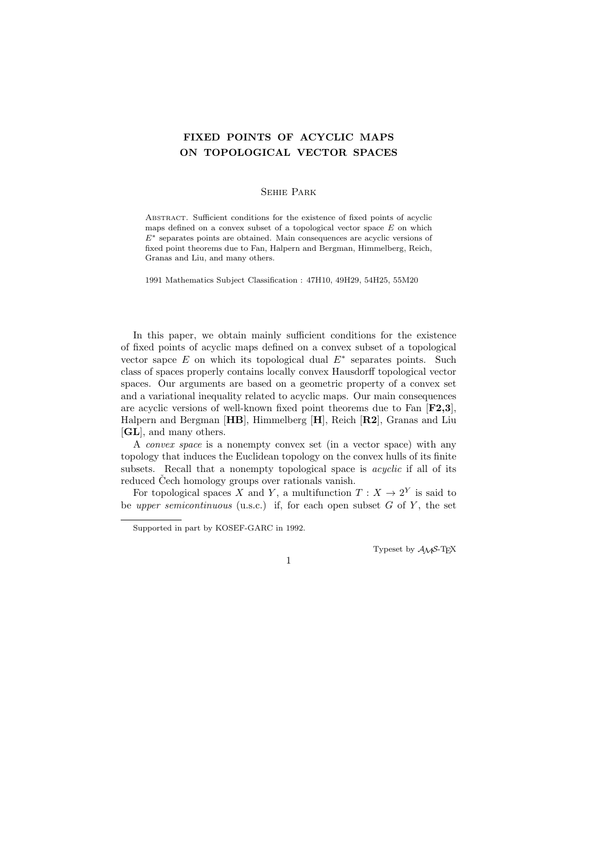## FIXED POINTS OF ACYCLIC MAPS ON TOPOLOGICAL VECTOR SPACES

## Sehie Park

Abstract. Sufficient conditions for the existence of fixed points of acyclic maps defined on a convex subset of a topological vector space  $E$  on which E<sup>∗</sup> separates points are obtained. Main consequences are acyclic versions of fixed point theorems due to Fan, Halpern and Bergman, Himmelberg, Reich, Granas and Liu, and many others.

1991 Mathematics Subject Classification : 47H10, 49H29, 54H25, 55M20

In this paper, we obtain mainly sufficient conditions for the existence of fixed points of acyclic maps defined on a convex subset of a topological vector sapce  $E$  on which its topological dual  $E^*$  separates points. Such class of spaces properly contains locally convex Hausdorff topological vector spaces. Our arguments are based on a geometric property of a convex set and a variational inequality related to acyclic maps. Our main consequences are acyclic versions of well-known fixed point theorems due to Fan [F2,3], Halpern and Bergman [HB], Himmelberg [H], Reich [R2], Granas and Liu [GL], and many others.

A convex space is a nonempty convex set (in a vector space) with any topology that induces the Euclidean topology on the convex hulls of its finite subsets. Recall that a nonempty topological space is *acyclic* if all of its reduced Čech homology groups over rationals vanish.

For topological spaces X and Y, a multifunction  $T: X \to 2^Y$  is said to be upper semicontinuous (u.s.c.) if, for each open subset  $G$  of  $Y$ , the set

1

Typeset by  $A\mathcal{M}S$ -TEX

Supported in part by KOSEF-GARC in 1992.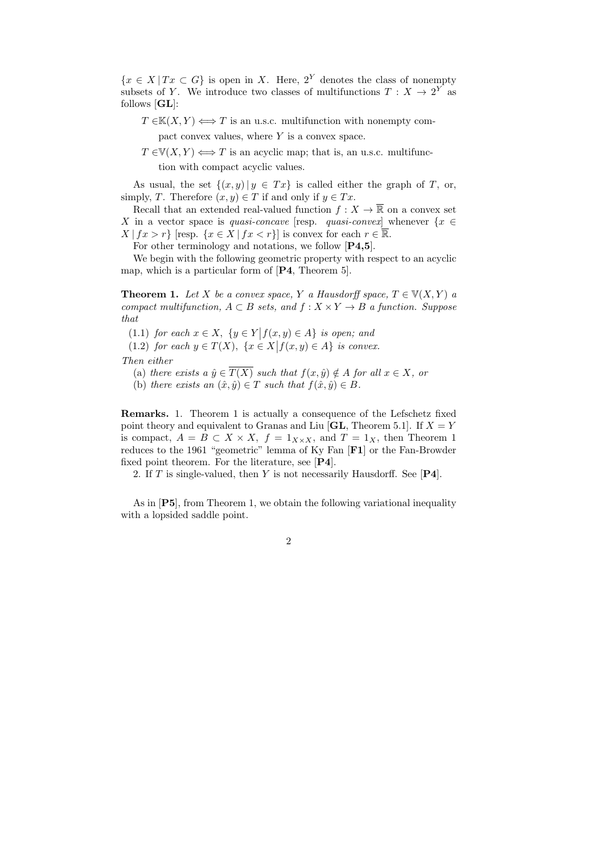$\{x \in X | Tx \subset G\}$  is open in X. Here,  $2^Y$  denotes the class of nonempty subsets of Y. We introduce two classes of multifunctions  $T: X \to 2^Y$  as follows [GL]:

- $T \in K(X, Y) \Longleftrightarrow T$  is an u.s.c. multifunction with nonempty compact convex values, where  $Y$  is a convex space.
- $T \in V(X, Y) \iff T$  is an acyclic map; that is, an u.s.c. multifunc-

tion with compact acyclic values.

As usual, the set  $\{(x, y) | y \in Tx\}$  is called either the graph of T, or, simply, T. Therefore  $(x, y) \in T$  if and only if  $y \in Tx$ .

Recall that an extended real-valued function  $f: X \to \overline{\mathbb{R}}$  on a convex set X in a vector space is quasi-concave [resp. quasi-convex] whenever  $\{x \in$  $X | fx > r$  [resp.  $\{x \in X | fx < r\}$ ] is convex for each  $r \in \overline{\mathbb{R}}$ .

For other terminology and notations, we follow [P4,5].

We begin with the following geometric property with respect to an acyclic map, which is a particular form of [P4, Theorem 5].

**Theorem 1.** Let X be a convex space, Y a Hausdorff space,  $T \in V(X, Y)$  a compact multifunction,  $A \subset B$  sets, and  $f : X \times Y \to B$  a function. Suppose that

(1.1) for each  $x \in X$ ,  $\{y \in Y | f(x, y) \in A\}$  is open; and

(1.2) for each  $y \in T(X)$ ,  $\{x \in X | f(x, y) \in A\}$  is convex.

Then either

(a) there exists a  $\hat{y} \in \overline{T(X)}$  such that  $f(x, \hat{y}) \notin A$  for all  $x \in X$ , or

(b) there exists an  $(\hat{x}, \hat{y}) \in T$  such that  $f(\hat{x}, \hat{y}) \in B$ .

Remarks. 1. Theorem 1 is actually a consequence of the Lefschetz fixed point theory and equivalent to Granas and Liu [GL, Theorem 5.1]. If  $X = Y$ is compact,  $A = B \subset X \times X$ ,  $f = 1_{X \times X}$ , and  $T = 1_X$ , then Theorem 1 reduces to the 1961 "geometric" lemma of Ky Fan [F1] or the Fan-Browder fixed point theorem. For the literature, see [P4].

2. If T is single-valued, then Y is not necessarily Hausdorff. See  $[P4]$ .

As in [P5], from Theorem 1, we obtain the following variational inequality with a lopsided saddle point.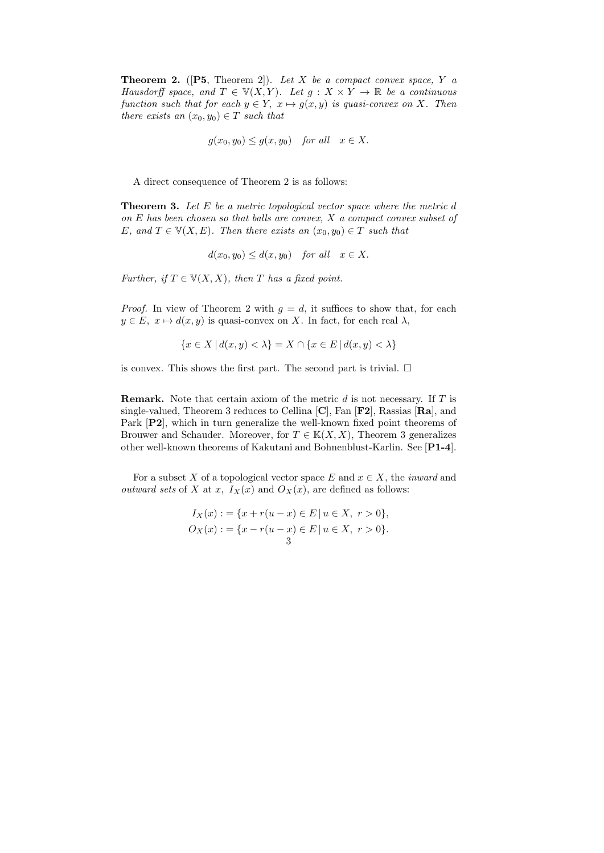**Theorem 2.** ( $[P5, Theorem 2]$ ). Let X be a compact convex space, Y a Hausdorff space, and  $T \in V(X,Y)$ . Let  $g: X \times Y \to \mathbb{R}$  be a continuous function such that for each  $y \in Y$ ,  $x \mapsto g(x, y)$  is quasi-convex on X. Then there exists an  $(x_0, y_0) \in T$  such that

$$
g(x_0, y_0) \le g(x, y_0) \quad for all \quad x \in X.
$$

A direct consequence of Theorem 2 is as follows:

**Theorem 3.** Let  $E$  be a metric topological vector space where the metric  $d$ on  $E$  has been chosen so that balls are convex,  $X$  a compact convex subset of E, and  $T \in \mathbb{V}(X, E)$ . Then there exists an  $(x_0, y_0) \in T$  such that

 $d(x_0, y_0) \leq d(x, y_0)$  for all  $x \in X$ .

Further, if  $T \in V(X, X)$ , then T has a fixed point.

*Proof.* In view of Theorem 2 with  $g = d$ , it suffices to show that, for each  $y \in E$ ,  $x \mapsto d(x, y)$  is quasi-convex on X. In fact, for each real  $\lambda$ ,

$$
\{x \in X \mid d(x, y) < \lambda\} = X \cap \{x \in E \mid d(x, y) < \lambda\}
$$

is convex. This shows the first part. The second part is trivial.  $\Box$ 

**Remark.** Note that certain axiom of the metric  $d$  is not necessary. If  $T$  is single-valued, Theorem 3 reduces to Cellina [C], Fan [F2], Rassias [Ra], and Park [P2], which in turn generalize the well-known fixed point theorems of Brouwer and Schauder. Moreover, for  $T \in K(X, X)$ , Theorem 3 generalizes other well-known theorems of Kakutani and Bohnenblust-Karlin. See [P1-4].

For a subset X of a topological vector space E and  $x \in X$ , the *inward* and *outward sets* of X at x,  $I_X(x)$  and  $O_X(x)$ , are defined as follows:

$$
I_X(x) := \{x + r(u - x) \in E \mid u \in X, r > 0\},\
$$
  
\n
$$
O_X(x) := \{x - r(u - x) \in E \mid u \in X, r > 0\}.
$$
  
\n
$$
\frac{3}{2}
$$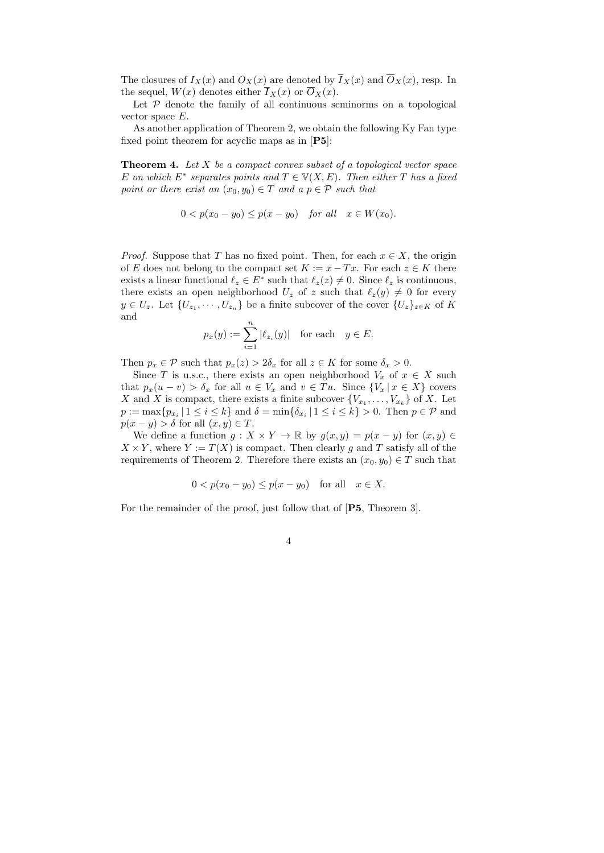The closures of  $I_X(x)$  and  $O_X(x)$  are denoted by  $\overline{I}_X(x)$  and  $\overline{O}_X(x)$ , resp. In the sequel,  $W(x)$  denotes either  $\overline{I}_X(x)$  or  $\overline{O}_X(x)$ .

Let  $P$  denote the family of all continuous seminorms on a topological vector space E.

As another application of Theorem 2, we obtain the following Ky Fan type fixed point theorem for acyclic maps as in [P5]:

**Theorem 4.** Let  $X$  be a compact convex subset of a topological vector space E on which  $E^*$  separates points and  $T \in \mathbb{V}(X, E)$ . Then either T has a fixed point or there exist an  $(x_0, y_0) \in T$  and a  $p \in \mathcal{P}$  such that

$$
0 < p(x_0 - y_0) \le p(x - y_0) \quad \text{for all} \quad x \in W(x_0).
$$

*Proof.* Suppose that T has no fixed point. Then, for each  $x \in X$ , the origin of E does not belong to the compact set  $K := x - Tx$ . For each  $z \in K$  there exists a linear functional  $\ell_z \in E^*$  such that  $\ell_z(z) \neq 0$ . Since  $\ell_z$  is continuous, there exists an open neighborhood  $U_z$  of z such that  $\ell_z(y) \neq 0$  for every  $y \in U_z$ . Let  $\{U_{z_1}, \cdots, U_{z_n}\}$  be a finite subcover of the cover  $\{U_z\}_{z \in K}$  of K and

$$
p_x(y) := \sum_{i=1}^n |\ell_{z_i}(y)| \text{ for each } y \in E.
$$

Then  $p_x \in \mathcal{P}$  such that  $p_x(z) > 2\delta_x$  for all  $z \in K$  for some  $\delta_x > 0$ .

Since T is u.s.c., there exists an open neighborhood  $V_x$  of  $x \in X$  such that  $p_x(u - v) > \delta_x$  for all  $u \in V_x$  and  $v \in Tu$ . Since  $\{V_x | x \in X\}$  covers X and X is compact, there exists a finite subcover  $\{V_{x_1}, \ldots, V_{x_k}\}$  of X. Let  $p := \max\{p_{x_i} \mid 1 \leq i \leq k\}$  and  $\delta = \min\{\delta_{x_i} \mid 1 \leq i \leq k\} > 0$ . Then  $p \in \mathcal{P}$  and  $p(x - y) > \delta$  for all  $(x, y) \in T$ .

We define a function  $g: X \times Y \to \mathbb{R}$  by  $g(x, y) = p(x - y)$  for  $(x, y) \in$  $X \times Y$ , where  $Y := T(X)$  is compact. Then clearly g and T satisfy all of the requirements of Theorem 2. Therefore there exists an  $(x_0, y_0) \in T$  such that

$$
0 < p(x_0 - y_0) \le p(x - y_0)
$$
 for all  $x \in X$ .

For the remainder of the proof, just follow that of [P5, Theorem 3].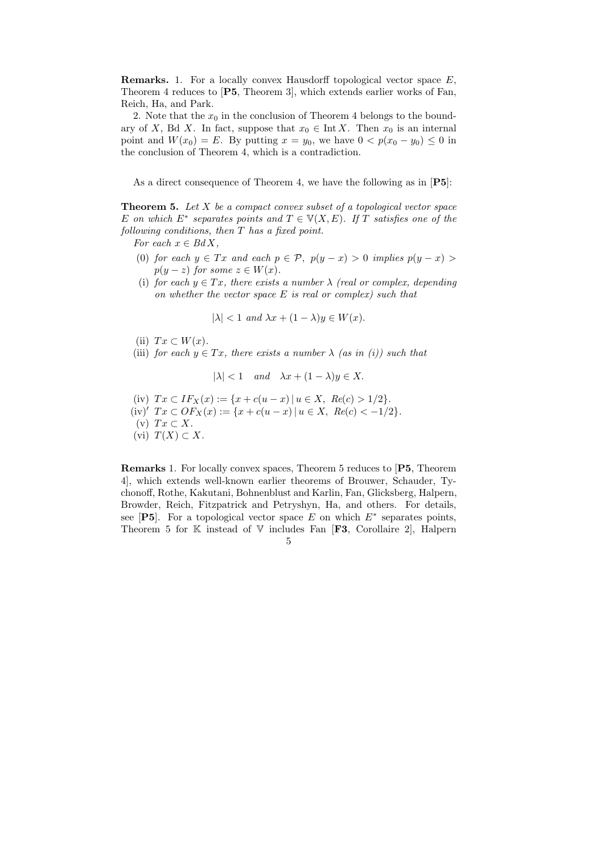Remarks. 1. For a locally convex Hausdorff topological vector space E, Theorem 4 reduces to [P5, Theorem 3], which extends earlier works of Fan, Reich, Ha, and Park.

2. Note that the  $x_0$  in the conclusion of Theorem 4 belongs to the boundary of X, Bd X. In fact, suppose that  $x_0 \in \text{Int } X$ . Then  $x_0$  is an internal point and  $W(x_0) = E$ . By putting  $x = y_0$ , we have  $0 < p(x_0 - y_0) \le 0$  in the conclusion of Theorem 4, which is a contradiction.

As a direct consequence of Theorem 4, we have the following as in  $[P5]$ :

**Theorem 5.** Let  $X$  be a compact convex subset of a topological vector space E on which  $E^*$  separates points and  $T \in \mathbb{V}(X,E)$ . If T satisfies one of the following conditions, then  $T$  has a fixed point.

For each  $x \in BdX$ ,

- (0) for each  $y \in Tx$  and each  $p \in \mathcal{P}$ ,  $p(y-x) > 0$  implies  $p(y-x) > 0$  $p(y-z)$  for some  $z \in W(x)$ .
- (i) for each  $y \in Tx$ , there exists a number  $\lambda$  (real or complex, depending on whether the vector space  $E$  is real or complex) such that

$$
|\lambda| < 1 \ and \ \lambda x + (1 - \lambda)y \in W(x).
$$

- (ii)  $Tx \subset W(x)$ .
- (iii) for each  $y \in Tx$ , there exists a number  $\lambda$  (as in (i)) such that

$$
|\lambda| < 1 \quad and \quad \lambda x + (1 - \lambda)y \in X.
$$

- (iv)  $Tx \subset IF_X(x) := \{x + c(u-x) \mid u \in X, \ Re(c) > 1/2\}.$
- (iv)'  $Tx \subset OF_X(x) := \{x + c(u x) | u \in X, Re(c) < -1/2\}.$
- (v)  $Tx \subset X$ .
- (vi)  $T(X) \subset X$ .

Remarks 1. For locally convex spaces, Theorem 5 reduces to [P5, Theorem 4], which extends well-known earlier theorems of Brouwer, Schauder, Tychonoff, Rothe, Kakutani, Bohnenblust and Karlin, Fan, Glicksberg, Halpern, Browder, Reich, Fitzpatrick and Petryshyn, Ha, and others. For details, see [P5]. For a topological vector space E on which  $E^*$  separates points, Theorem 5 for  $K$  instead of  $V$  includes Fan [F3, Corollaire 2], Halpern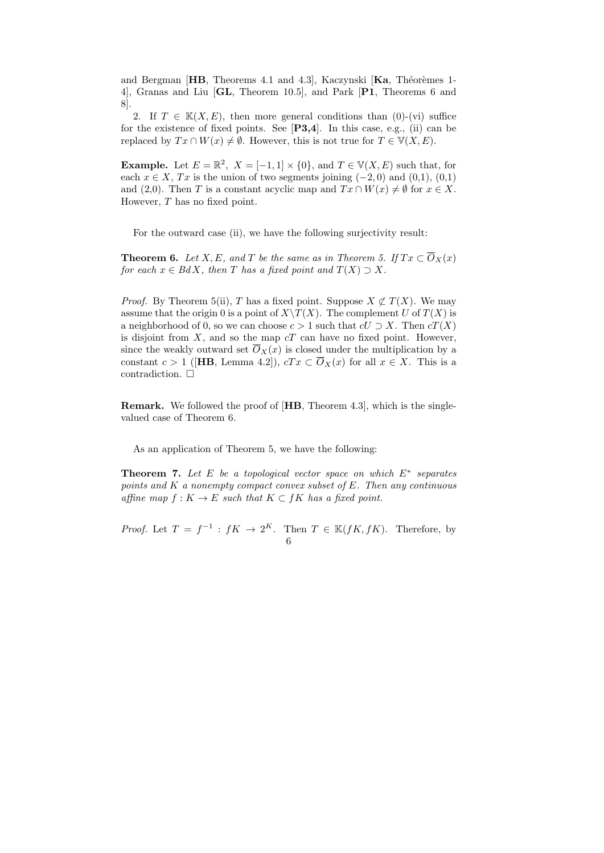and Bergman  $[HB, Theorems 4.1 and 4.3], Kaczynski  $[Ka, Théorèmes 1-$$ 4], Granas and Liu [GL, Theorem 10.5], and Park [P1, Theorems 6 and 8].

2. If  $T \in K(X, E)$ , then more general conditions than  $(0)$ -(vi) suffice for the existence of fixed points. See  $[P3,4]$ . In this case, e.g., (ii) can be replaced by  $Tx \cap W(x) \neq \emptyset$ . However, this is not true for  $T \in V(X, E)$ .

**Example.** Let  $E = \mathbb{R}^2$ ,  $X = [-1, 1] \times \{0\}$ , and  $T \in \mathbb{V}(X, E)$  such that, for each  $x \in X$ , Tx is the union of two segments joining  $(-2,0)$  and  $(0,1)$ ,  $(0,1)$ and (2,0). Then T is a constant acyclic map and  $Tx \cap W(x) \neq \emptyset$  for  $x \in X$ . However, T has no fixed point.

For the outward case (ii), we have the following surjectivity result:

**Theorem 6.** Let X, E, and T be the same as in Theorem 5. If  $Tx \subset \overline{O}_X(x)$ for each  $x \in BdX$ , then T has a fixed point and  $T(X) \supset X$ .

*Proof.* By Theorem 5(ii), T has a fixed point. Suppose  $X \not\subset T(X)$ . We may assume that the origin 0 is a point of  $X\Y(T(X)$ . The complement U of  $T(X)$  is a neighborhood of 0, so we can choose  $c > 1$  such that  $cU \supset X$ . Then  $cT(X)$ is disjoint from  $X$ , and so the map  $cT$  can have no fixed point. However, since the weakly outward set  $\overline{O}_X(x)$  is closed under the multiplication by a constant  $c > 1$  ([HB, Lemma 4.2]),  $cTx \subset \overline{O}_X(x)$  for all  $x \in X$ . This is a contradiction.  $\Box$ 

Remark. We followed the proof of [HB, Theorem 4.3], which is the singlevalued case of Theorem 6.

As an application of Theorem 5, we have the following:

**Theorem 7.** Let  $E$  be a topological vector space on which  $E^*$  separates points and  $K$  a nonempty compact convex subset of  $E$ . Then any continuous affine map  $f: K \to E$  such that  $K \subset fK$  has a fixed point.

*Proof.* Let  $T = f^{-1} : fK \to 2^K$ . Then  $T \in \mathbb{K}(fK, fK)$ . Therefore, by 6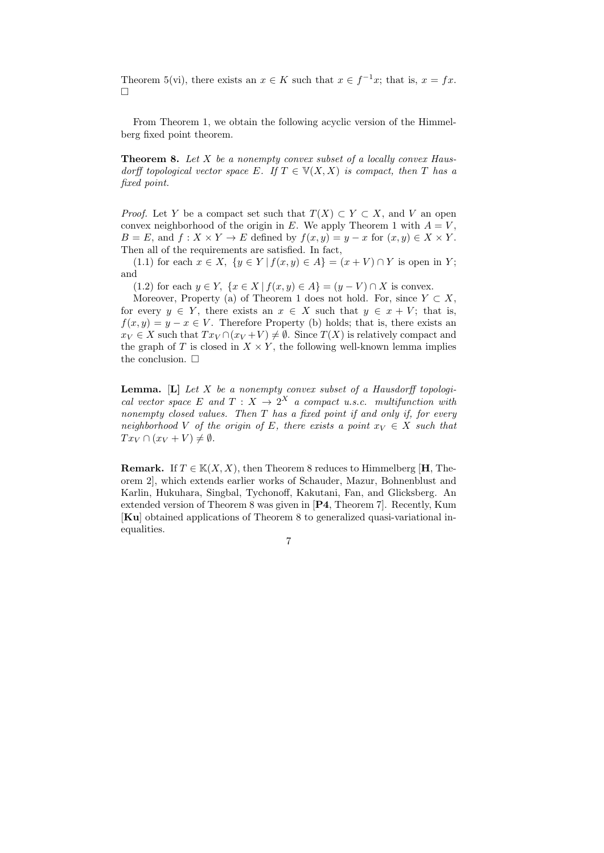Theorem 5(vi), there exists an  $x \in K$  such that  $x \in f^{-1}x$ ; that is,  $x = fx$ .  $\Box$ 

From Theorem 1, we obtain the following acyclic version of the Himmelberg fixed point theorem.

**Theorem 8.** Let  $X$  be a nonempty convex subset of a locally convex Hausdorff topological vector space E. If  $T \in V(X,X)$  is compact, then T has a fixed point.

*Proof.* Let Y be a compact set such that  $T(X) \subset Y \subset X$ , and V an open convex neighborhood of the origin in E. We apply Theorem 1 with  $A = V$ ,  $B = E$ , and  $f: X \times Y \to E$  defined by  $f(x, y) = y - x$  for  $(x, y) \in X \times Y$ . Then all of the requirements are satisfied. In fact,

(1.1) for each  $x \in X$ ,  $\{y \in Y \mid f(x, y) \in A\} = (x + V) \cap Y$  is open in Y; and

(1.2) for each  $y \in Y$ ,  $\{x \in X \mid f(x, y) \in A\} = (y - V) \cap X$  is convex.

Moreover, Property (a) of Theorem 1 does not hold. For, since  $Y \subset X$ , for every  $y \in Y$ , there exists an  $x \in X$  such that  $y \in x + V$ ; that is,  $f(x, y) = y - x \in V$ . Therefore Property (b) holds; that is, there exists an  $x_V \in X$  such that  $Tx_V \cap (x_V + V) \neq \emptyset$ . Since  $T(X)$  is relatively compact and the graph of T is closed in  $X \times Y$ , the following well-known lemma implies the conclusion.  $\Box$ 

**Lemma.** [L] Let  $X$  be a nonempty convex subset of a Hausdorff topological vector space E and  $T : X \to 2^X$  a compact u.s.c. multifunction with nonempty closed values. Then  $T$  has a fixed point if and only if, for every neighborhood V of the origin of E, there exists a point  $x_V \in X$  such that  $Tx_V \cap (x_V + V) \neq \emptyset.$ 

**Remark.** If  $T \in K(X, X)$ , then Theorem 8 reduces to Himmelberg [**H**, Theorem 2], which extends earlier works of Schauder, Mazur, Bohnenblust and Karlin, Hukuhara, Singbal, Tychonoff, Kakutani, Fan, and Glicksberg. An extended version of Theorem 8 was given in [P4, Theorem 7]. Recently, Kum [Ku] obtained applications of Theorem 8 to generalized quasi-variational inequalities.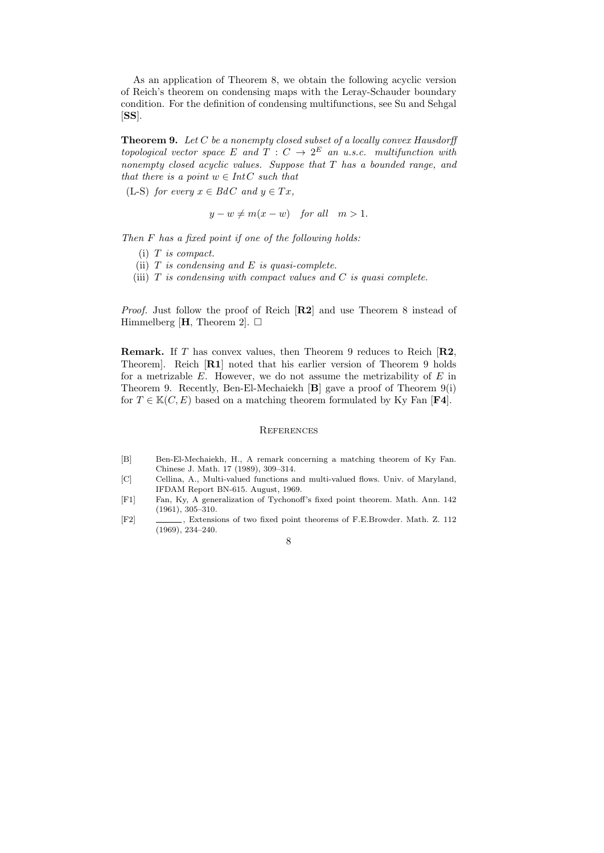As an application of Theorem 8, we obtain the following acyclic version of Reich's theorem on condensing maps with the Leray-Schauder boundary condition. For the definition of condensing multifunctions, see Su and Sehgal  $[SS]$ .

**Theorem 9.** Let  $C$  be a nonempty closed subset of a locally convex Hausdorff topological vector space E and  $T: C \rightarrow 2^E$  an u.s.c. multifunction with nonempty closed acyclic values. Suppose that  $T$  has a bounded range, and that there is a point  $w \in Int C$  such that

(L-S) for every  $x \in BdC$  and  $y \in Tx$ ,

$$
y - w \neq m(x - w) \quad for all \quad m > 1.
$$

Then F has a fixed point if one of the following holds:

- $(i)$  T is compact.
- (ii)  $T$  is condensing and  $E$  is quasi-complete.
- (iii)  $T$  is condensing with compact values and  $C$  is quasi complete.

Proof. Just follow the proof of Reich [R2] and use Theorem 8 instead of Himmelberg [**H**, Theorem 2].  $\Box$ 

Remark. If T has convex values, then Theorem 9 reduces to Reich [R2, Theorem]. Reich [R1] noted that his earlier version of Theorem 9 holds for a metrizable  $E$ . However, we do not assume the metrizability of  $E$  in Theorem 9. Recently, Ben-El-Mechaiekh [B] gave a proof of Theorem 9(i) for  $T \in \mathbb{K}(C, E)$  based on a matching theorem formulated by Ky Fan [F4].

## **REFERENCES**

- [B] Ben-El-Mechaiekh, H., A remark concerning a matching theorem of Ky Fan. Chinese J. Math. 17 (1989), 309–314.
- [C] Cellina, A., Multi-valued functions and multi-valued flows. Univ. of Maryland, IFDAM Report BN-615. August, 1969.
- [F1] Fan, Ky, A generalization of Tychonoff's fixed point theorem. Math. Ann. 142 (1961), 305–310.
- [F2] , Extensions of two fixed point theorems of F.E.Browder. Math. Z. 112 (1969), 234–240.